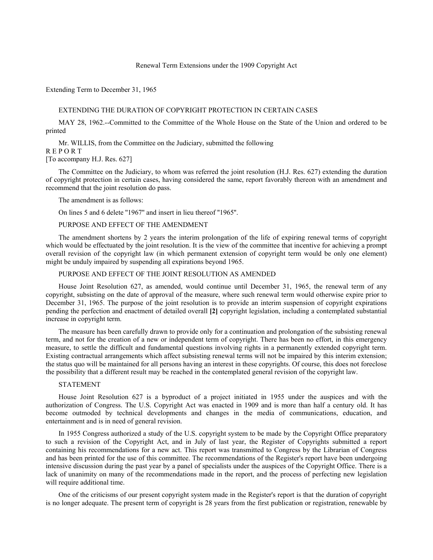## Renewal Term Extensions under the 1909 Copyright Act

Extending Term to December 31, 1965

### EXTENDING THE DURATION OF COPYRIGHT PROTECTION IN CERTAIN CASES

MAY 28, 1962.--Committed to the Committee of the Whole House on the State of the Union and ordered to be printed

Mr. WILLIS, from the Committee on the Judiciary, submitted the following R E P O R T

[To accompany H.J. Res. 627]

The Committee on the Judiciary, to whom was referred the joint resolution (H.J. Res. 627) extending the duration of copyright protection in certain cases, having considered the same, report favorably thereon with an amendment and recommend that the joint resolution do pass.

The amendment is as follows:

On lines 5 and 6 delete ''1967'' and insert in lieu thereof ''1965''.

## PURPOSE AND EFFECT OF THE AMENDMENT

The amendment shortens by 2 years the interim prolongation of the life of expiring renewal terms of copyright which would be effectuated by the joint resolution. It is the view of the committee that incentive for achieving a prompt overall revision of the copyright law (in which permanent extension of copyright term would be only one element) might be unduly impaired by suspending all expirations beyond 1965.

PURPOSE AND EFFECT OF THE JOINT RESOLUTION AS AMENDED

House Joint Resolution 627, as amended, would continue until December 31, 1965, the renewal term of any copyright, subsisting on the date of approval of the measure, where such renewal term would otherwise expire prior to December 31, 1965. The purpose of the joint resolution is to provide an interim suspension of copyright expirations pending the perfection and enactment of detailed overall **[2]** copyright legislation, including a contemplated substantial increase in copyright term.

The measure has been carefully drawn to provide only for a continuation and prolongation of the subsisting renewal term, and not for the creation of a new or independent term of copyright. There has been no effort, in this emergency measure, to settle the difficult and fundamental questions involving rights in a permanently extended copyright term. Existing contractual arrangements which affect subsisting renewal terms will not be impaired by this interim extension; the status quo will be maintained for all persons having an interest in these copyrights. Of course, this does not foreclose the possibility that a different result may be reached in the contemplated general revision of the copyright law.

## STATEMENT

House Joint Resolution 627 is a byproduct of a project initiated in 1955 under the auspices and with the authorization of Congress. The U.S. Copyright Act was enacted in 1909 and is more than half a century old. It has become outmoded by technical developments and changes in the media of communications, education, and entertainment and is in need of general revision.

In 1955 Congress authorized a study of the U.S. copyright system to be made by the Copyright Office preparatory to such a revision of the Copyright Act, and in July of last year, the Register of Copyrights submitted a report containing his recommendations for a new act. This report was transmitted to Congress by the Librarian of Congress and has been printed for the use of this committee. The recommendations of the Register's report have been undergoing intensive discussion during the past year by a panel of specialists under the auspices of the Copyright Office. There is a lack of unanimity on many of the recommendations made in the report, and the process of perfecting new legislation will require additional time.

One of the criticisms of our present copyright system made in the Register's report is that the duration of copyright is no longer adequate. The present term of copyright is 28 years from the first publication or registration, renewable by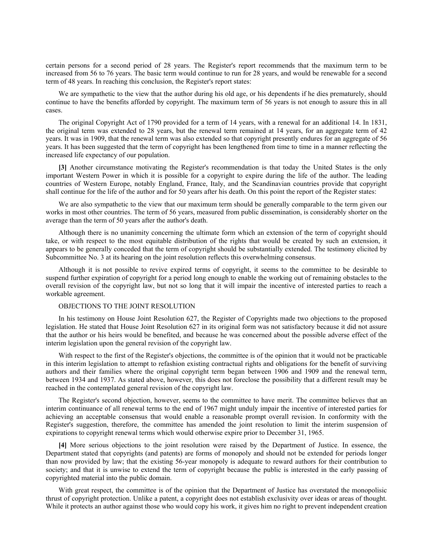certain persons for a second period of 28 years. The Register's report recommends that the maximum term to be increased from 56 to 76 years. The basic term would continue to run for 28 years, and would be renewable for a second term of 48 years. In reaching this conclusion, the Register's report states:

We are sympathetic to the view that the author during his old age, or his dependents if he dies prematurely, should continue to have the benefits afforded by copyright. The maximum term of 56 years is not enough to assure this in all cases.

The original Copyright Act of 1790 provided for a term of 14 years, with a renewal for an additional 14. In 1831, the original term was extended to 28 years, but the renewal term remained at 14 years, for an aggregate term of 42 years. It was in 1909, that the renewal term was also extended so that copyright presently endures for an aggregate of 56 years. It has been suggested that the term of copyright has been lengthened from time to time in a manner reflecting the increased life expectancy of our population.

**[3]** Another circumstance motivating the Register's recommendation is that today the United States is the only important Western Power in which it is possible for a copyright to expire during the life of the author. The leading countries of Western Europe, notably England, France, Italy, and the Scandinavian countries provide that copyright shall continue for the life of the author and for 50 years after his death. On this point the report of the Register states:

We are also sympathetic to the view that our maximum term should be generally comparable to the term given our works in most other countries. The term of 56 years, measured from public dissemination, is considerably shorter on the average than the term of 50 years after the author's death.

Although there is no unanimity concerning the ultimate form which an extension of the term of copyright should take, or with respect to the most equitable distribution of the rights that would be created by such an extension, it appears to be generally conceded that the term of copyright should be substantially extended. The testimony elicited by Subcommittee No. 3 at its hearing on the joint resolution reflects this overwhelming consensus.

Although it is not possible to revive expired terms of copyright, it seems to the committee to be desirable to suspend further expiration of copyright for a period long enough to enable the working out of remaining obstacles to the overall revision of the copyright law, but not so long that it will impair the incentive of interested parties to reach a workable agreement.

#### OBJECTIONS TO THE JOINT RESOLUTION

In his testimony on House Joint Resolution 627, the Register of Copyrights made two objections to the proposed legislation. He stated that House Joint Resolution 627 in its original form was not satisfactory because it did not assure that the author or his heirs would be benefited, and because he was concerned about the possible adverse effect of the interim legislation upon the general revision of the copyright law.

With respect to the first of the Register's objections, the committee is of the opinion that it would not be practicable in this interim legislation to attempt to refashion existing contractual rights and obligations for the benefit of surviving authors and their families where the original copyright term began between 1906 and 1909 and the renewal term, between 1934 and 1937. As stated above, however, this does not foreclose the possibility that a different result may be reached in the contemplated general revision of the copyright law.

The Register's second objection, however, seems to the committee to have merit. The committee believes that an interim continuance of all renewal terms to the end of 1967 might unduly impair the incentive of interested parties for achieving an acceptable consensus that would enable a reasonable prompt overall revision. In conformity with the Register's suggestion, therefore, the committee has amended the joint resolution to limit the interim suspension of expirations to copyright renewal terms which would otherwise expire prior to December 31, 1965.

**[4]** More serious objections to the joint resolution were raised by the Department of Justice. In essence, the Department stated that copyrights (and patents) are forms of monopoly and should not be extended for periods longer than now provided by law; that the existing 56-year monopoly is adequate to reward authors for their contribution to society; and that it is unwise to extend the term of copyright because the public is interested in the early passing of copyrighted material into the public domain.

With great respect, the committee is of the opinion that the Department of Justice has overstated the monopolisic thrust of copyright protection. Unlike a patent, a copyright does not establish exclusivity over ideas or areas of thought. While it protects an author against those who would copy his work, it gives him no right to prevent independent creation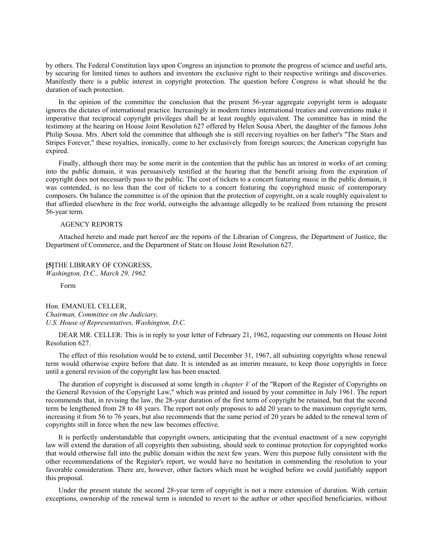by others. The Federal Constitution lays upon Congress an injunction to promote the progress of science and useful arts, by securing for limited times to authors and inventors the exclusive right to their respective writings and discoveries. Manifestly there is a public interest in copyright protection. The question before Congress is what should be the duration of such protection.

In the opinion of the committee the conclusion that the present 56-year aggregate copyright term is adequate ignores the dictates of international practice. Increasingly in modern times international treaties and conventions make it imperative that reciprocal copyright privileges shall be at least roughly equivalent. The committee has in mind the testimony at the hearing on House Joint Resolution 627 offered by Helen Sousa Abert, the daughter of the famous John Philip Sousa. Mrs. Abert told the committee that although she is still receiving royalties on her father's ''The Stars and Stripes Forever,'' these royalties, ironically, come to her exclusively from foreign sources; the American copyright has expired.

Finally, although there may be some merit in the contention that the public has an interest in works of art coming into the public domain, it was persuasively testified at the hearing that the benefit arising from the expiration of copyright does not necessarily pass to the public. The cost of tickets to a concert featuring music in the public domain, it was contended, is no less than the cost of tickets to a concert featuring the copyrighted music of contemporary composers. On balance the committee is of the opinion that the protection of copyright, on a scale roughly equivalent to that afforded elsewhere in the free world, outweighs the advantage allegedly to be realized from retaining the present 56-year term.

### AGENCY REPORTS

Attached hereto and made part hereof are the reports of the Librarian of Congress, the Department of Justice, the Department of Commerce, and the Department of State on House Joint Resolution 627.

**[5]**THE LIBRARY OF CONGRESS, *Washington, D.C., March 29, 1962.*

Form

Hon. EMANUEL CELLER, *Chairman, Committee on the Judiciary, U.S. House of Representatives, Washington, D.C.*

DEAR MR. CELLER: This is in reply to your letter of February 21, 1962, requesting our comments on House Joint Resolution 627.

The effect of this resolution would be to extend, until December 31, 1967, all subsisting copyrights whose renewal term would otherwise expire before that date. It is intended as an interim measure, to keep those copyrights in force until a general revision of the copyright law has been enacted.

The duration of copyright is discussed at some length in *chapter V* of the ''Report of the Register of Copyrights on the General Revision of the Copyright Law,'' which was printed and issued by your committee in July 1961. The report recommends that, in revising the law, the 28-year duration of the first term of copyright be retained, but that the second term be lengthened from 28 to 48 years. The report not only proposes to add 20 years to the maximum copyright term, increasing it from 56 to 76 years, but also recommends that the same period of 20 years be added to the renewal term of copyrights still in force when the new law becomes effective.

It is perfectly understandable that copyright owners, anticipating that the eventual enactment of a new copyright law will extend the duration of all copyrights then subsisting, should seek to continue protection for copyrighted works that would otherwise fall into the public domain within the next few years. Were this purpose fully consistent with the other recommendations of the Register's report, we would have no hesitation in commending the resolution to your favorable consideration. There are, however, other factors which must be weighed before we could justifiably support this proposal.

Under the present statute the second 28-year term of copyright is not a mere extension of duration. With certain exceptions, ownership of the renewal term is intended to revert to the author or other specified beneficiaries, without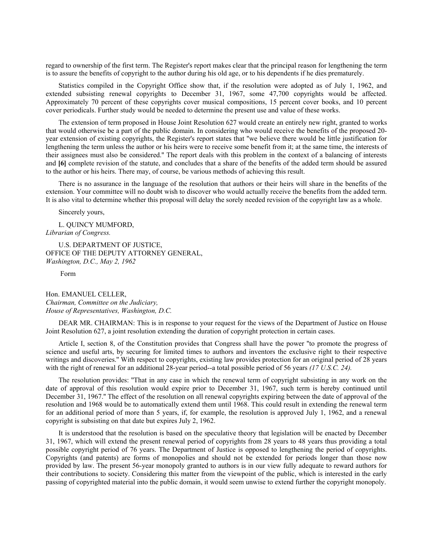regard to ownership of the first term. The Register's report makes clear that the principal reason for lengthening the term is to assure the benefits of copyright to the author during his old age, or to his dependents if he dies prematurely.

Statistics compiled in the Copyright Office show that, if the resolution were adopted as of July 1, 1962, and extended subsisting renewal copyrights to December 31, 1967, some 47,700 copyrights would be affected. Approximately 70 percent of these copyrights cover musical compositions, 15 percent cover books, and 10 percent cover periodicals. Further study would be needed to determine the present use and value of these works.

The extension of term proposed in House Joint Resolution 627 would create an entirely new right, granted to works that would otherwise be a part of the public domain. In considering who would receive the benefits of the proposed 20 year extension of existing copyrights, the Register's report states that ''we believe there would be little justification for lengthening the term unless the author or his heirs were to receive some benefit from it; at the same time, the interests of their assignees must also be considered.'' The report deals with this problem in the context of a balancing of interests and **[6]** complete revision of the statute, and concludes that a share of the benefits of the added term should be assured to the author or his heirs. There may, of course, be various methods of achieving this result.

There is no assurance in the language of the resolution that authors or their heirs will share in the benefits of the extension. Your committee will no doubt wish to discover who would actually receive the benefits from the added term. It is also vital to determine whether this proposal will delay the sorely needed revision of the copyright law as a whole.

Sincerely yours,

L. QUINCY MUMFORD, *Librarian of Congress.*

U.S. DEPARTMENT OF JUSTICE, OFFICE OF THE DEPUTY ATTORNEY GENERAL, *Washington, D.C., May 2, 1962*

Form

Hon. EMANUEL CELLER, *Chairman, Committee on the Judiciary, House of Representatives, Washington, D.C.*

DEAR MR. CHAIRMAN: This is in response to your request for the views of the Department of Justice on House Joint Resolution 627, a joint resolution extending the duration of copyright protection in certain cases.

Article I, section 8, of the Constitution provides that Congress shall have the power ''to promote the progress of science and useful arts, by securing for limited times to authors and inventors the exclusive right to their respective writings and discoveries.'' With respect to copyrights, existing law provides protection for an original period of 28 years with the right of renewal for an additional 28-year period--a total possible period of 56 years *(17 U.S.C. 24).*

The resolution provides: ''That in any case in which the renewal term of copyright subsisting in any work on the date of approval of this resolution would expire prior to December 31, 1967, such term is hereby continued until December 31, 1967.'' The effect of the resolution on all renewal copyrights expiring between the date of approval of the resolution and 1968 would be to automatically extend them until 1968. This could result in extending the renewal term for an additional period of more than 5 years, if, for example, the resolution is approved July 1, 1962, and a renewal copyright is subsisting on that date but expires July 2, 1962.

It is understood that the resolution is based on the speculative theory that legislation will be enacted by December 31, 1967, which will extend the present renewal period of copyrights from 28 years to 48 years thus providing a total possible copyright period of 76 years. The Department of Justice is opposed to lengthening the period of copyrights. Copyrights (and patents) are forms of monopolies and should not be extended for periods longer than those now provided by law. The present 56-year monopoly granted to authors is in our view fully adequate to reward authors for their contributions to society. Considering this matter from the viewpoint of the public, which is interested in the early passing of copyrighted material into the public domain, it would seem unwise to extend further the copyright monopoly.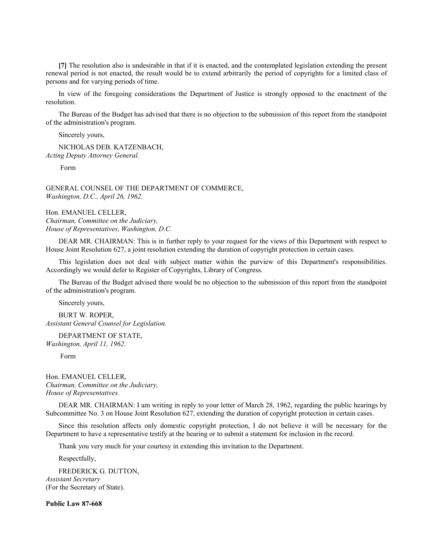**[7]** The resolution also is undesirable in that if it is enacted, and the contemplated legislation extending the present renewal period is not enacted, the result would be to extend arbitrarily the period of copyrights for a limited class of persons and for varying periods of time.

In view of the foregoing considerations the Department of Justice is strongly opposed to the enactment of the resolution.

The Bureau of the Budget has advised that there is no objection to the submission of this report from the standpoint of the administration's program.

Sincerely yours,

NICHOLAS DEB. KATZENBACH, *Acting Deputy Attorney General.*

Form

GENERAL COUNSEL OF THE DEPARTMENT OF COMMERCE, *Washington, D.C., April 26, 1962.*

Hon. EMANUEL CELLER, *Chairman, Committee on the Judiciary, House of Representatives, Washington, D.C.*

DEAR MR. CHAIRMAN: This is in further reply to your request for the views of this Department with respect to House Joint Resolution 627, a joint resolution extending the duration of copyright protection in certain cases.

This legislation does not deal with subject matter within the purview of this Department's responsibilities. Accordingly we would defer to Register of Copyrights, Library of Congress.

The Bureau of the Budget advised there would be no objection to the submission of this report from the standpoint of the administration's program.

Sincerely yours,

BURT W. ROPER, *Assistant General Counsel for Legislation.*

DEPARTMENT OF STATE, *Washington, April 11, 1962.*

Form

Hon. EMANUEL CELLER, *Chairman, Committee on the Judiciary, House of Representatives.*

DEAR MR. CHAIRMAN: I am writing in reply to your letter of March 28, 1962, regarding the public hearings by Subcommittee No. 3 on House Joint Resolution 627, extending the duration of copyright protection in certain cases.

Since this resolution affects only domestic copyright protection, I do not believe it will be necessary for the Department to have a representative testify at the hearing or to submit a statement for inclusion in the record.

Thank you very much for your courtesy in extending this invitation to the Department.

Respectfully,

FREDERICK G. DUTTON, *Assistant Secretary* (For the Secretary of State).

**Public Law 87-668**